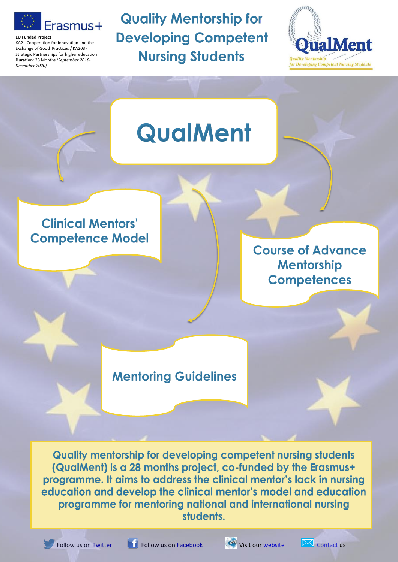

**EU Funded Project**

KA2 - Cooperation for Innovation and the Exchange of Good Practices / KA203 - Strategic Partnerships for higher education **Duration:** 28 Months *(September 2018- December 2020)*

**Quality Mentorship for Developing Competent Nursing Students** 



# **QualMent Clinical Mentors' Competence Model Course of Advance Mentorship Competences Mentoring Guidelines**

**Quality mentorship for developing competent nursing students** (QualMent) is a 28 months project, co-funded by the Erasmus+ programme. It aims to address the clinical mentor's lack in nursing education and develop the clinical mentor's model and education programme for mentoring national and international nursing students.